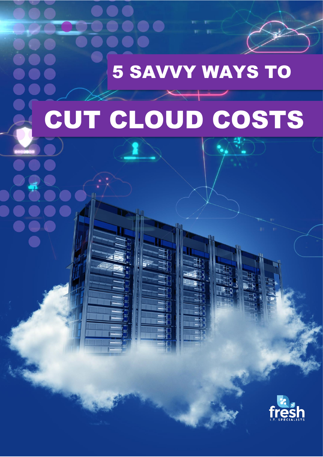

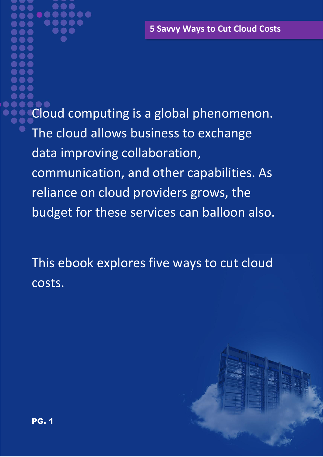**5 Savvy Ways to Cut Cloud Costs**

Cloud computing is a global phenomenon. The cloud allows business to exchange data improving collaboration, communication, and other capabilities. As reliance on cloud providers grows, the budget for these services can balloon also.

This ebook explores five ways to cut cloud costs.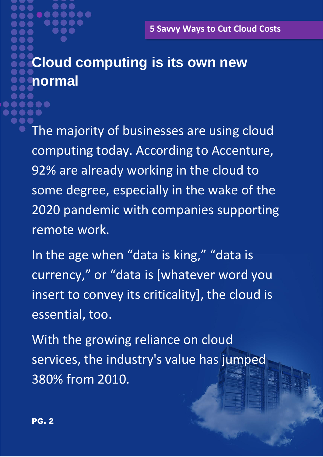# **Cloud computing is its own new normal**

The majority of businesses are using cloud computing today. According to Accenture, 92% are already working in the cloud to some degree, especially in the wake of the 2020 pandemic with companies supporting remote work.

In the age when "data is king," "data is currency," or "data is [whatever word you insert to convey its criticality], the cloud is essential, too.

With the growing reliance on cloud services, the industry's value has jumped 380% from 2010.

**. .**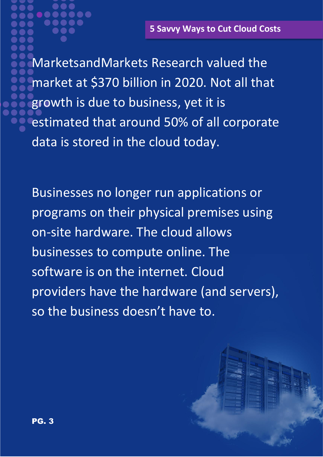MarketsandMarkets Research valued the market at \$370 billion in 2020. Not all that growth is due to business, yet it is estimated that around 50% of all corporate data is stored in the cloud today.

Businesses no longer run applications or programs on their physical premises using on-site hardware. The cloud allows businesses to compute online. The software is on the internet. Cloud providers have the hardware (and servers), so the business doesn't have to.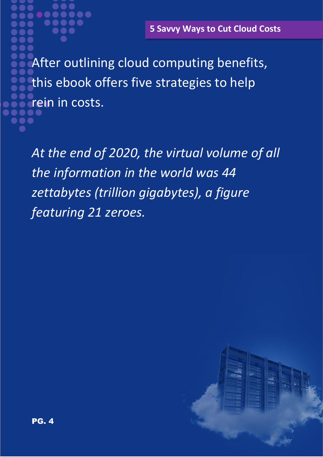After outlining cloud computing benefits, this ebook offers five strategies to help rein in costs.

*At the end of 2020, the virtual volume of all the information in the world was 44 zettabytes (trillion gigabytes), a figure featuring 21 zeroes.*

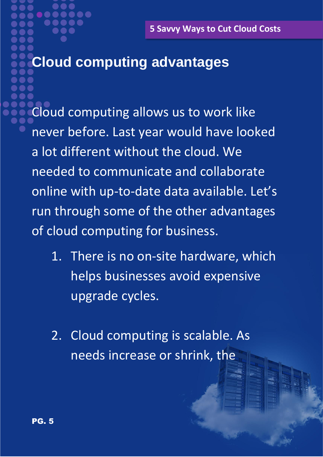# **Cloud computing advantages**

Cloud computing allows us to work like never before. Last year would have looked a lot different without the cloud. We needed to communicate and collaborate online with up-to-date data available. Let's run through some of the other advantages of cloud computing for business.

- 1. There is no on-site hardware, which helps businesses avoid expensive upgrade cycles.
- 2. Cloud computing is scalable. As needs increase or shrink, the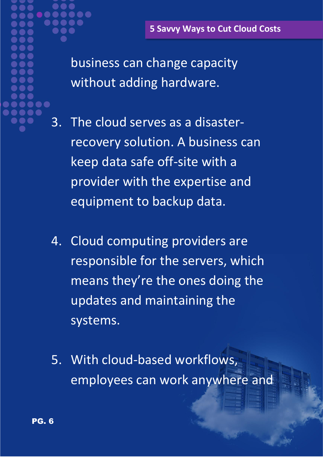business can change capacity without adding hardware.

- 3. The cloud serves as a disasterrecovery solution. A business can keep data safe off-site with a provider with the expertise and equipment to backup data.
- 4. Cloud computing providers are responsible for the servers, which means they're the ones doing the updates and maintaining the systems.
- 5. With cloud-based workflows, employees can work anywhere and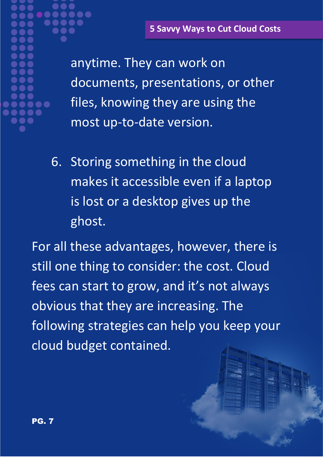anytime. They can work on documents, presentations, or other files, knowing they are using the most up-to-date version.

6. Storing something in the cloud makes it accessible even if a laptop is lost or a desktop gives up the ghost.

For all these advantages, however, there is still one thing to consider: the cost. Cloud fees can start to grow, and it's not always obvious that they are increasing. The following strategies can help you keep your cloud budget contained.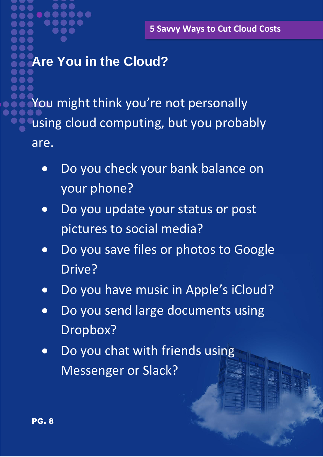# **Are You in the Cloud?**

You might think you're not personally using cloud computing, but you probably are.

- Do you check your bank balance on your phone?
- Do you update your status or post pictures to social media?
- Do you save files or photos to Google Drive?
- Do you have music in Apple's iCloud?
- Do you send large documents using Dropbox?
- Do you chat with friends using Messenger or Slack?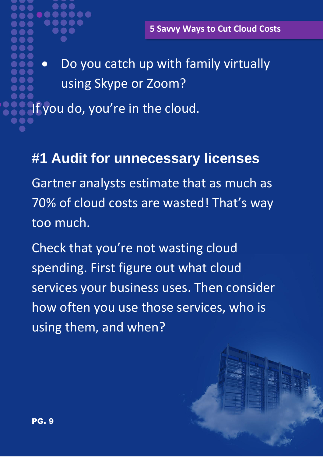• Do you catch up with family virtually using Skype or Zoom?

If you do, you're in the cloud.

### **#1 Audit for unnecessary licenses**

Gartner analysts estimate that as much as 70% of cloud costs are wasted! That's way too much.

Check that you're not wasting cloud spending. First figure out what cloud services your business uses. Then consider how often you use those services, who is using them, and when?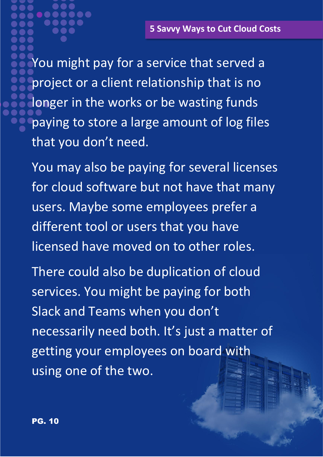You might pay for a service that served a project or a client relationship that is no longer in the works or be wasting funds paying to store a large amount of log files that you don't need.

You may also be paying for several licenses for cloud software but not have that many users. Maybe some employees prefer a different tool or users that you have licensed have moved on to other roles.

There could also be duplication of cloud services. You might be paying for both Slack and Teams when you don't necessarily need both. It's just a matter of getting your employees on board with using one of the two.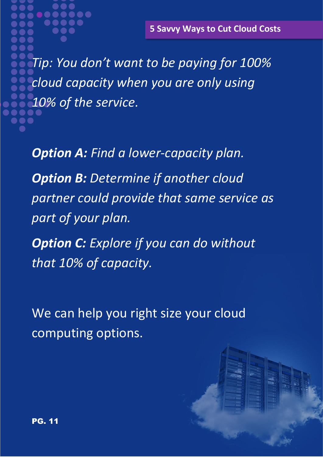*Tip: You don't want to be paying for 100% cloud capacity when you are only using 10% of the service.*

*Option A: Find a lower-capacity plan.*

*Option B: Determine if another cloud partner could provide that same service as part of your plan.*

*Option C: Explore if you can do without that 10% of capacity.*

We can help you right size your cloud computing options.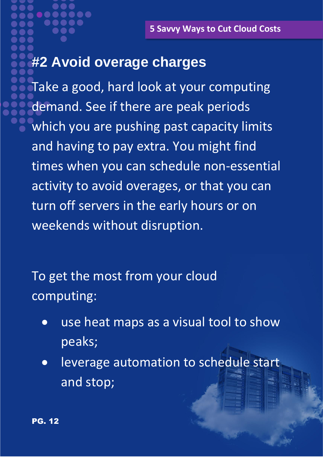# **#2 Avoid overage charges**

Take a good, hard look at your computing demand. See if there are peak periods which you are pushing past capacity limits and having to pay extra. You might find times when you can schedule non-essential activity to avoid overages, or that you can turn off servers in the early hours or on weekends without disruption.

To get the most from your cloud computing:

- use heat maps as a visual tool to show peaks;
- leverage automation to schedule start and stop;

PG. 12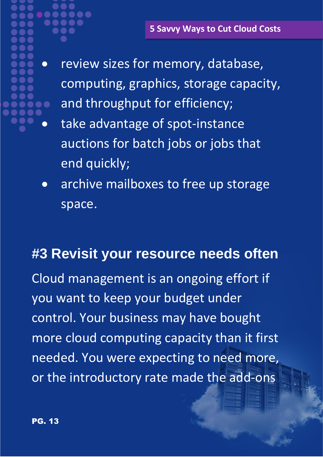- $\bullet$ 
	- review sizes for memory, database, computing, graphics, storage capacity, and throughput for efficiency;
	- take advantage of spot-instance auctions for batch jobs or jobs that end quickly;
	- archive mailboxes to free up storage space.

### **#3 Revisit your resource needs often**

Cloud management is an ongoing effort if you want to keep your budget under control. Your business may have bought more cloud computing capacity than it first needed. You were expecting to need more, or the introductory rate made the add-ons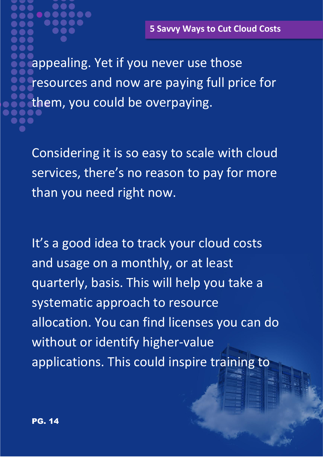appealing. Yet if you never use those resources and now are paying full price for them, you could be overpaying.

Considering it is so easy to scale with cloud services, there's no reason to pay for more than you need right now.

It's a good idea to track your cloud costs and usage on a monthly, or at least quarterly, basis. This will help you take a systematic approach to resource allocation. You can find licenses you can do without or identify higher-value applications. This could inspire training to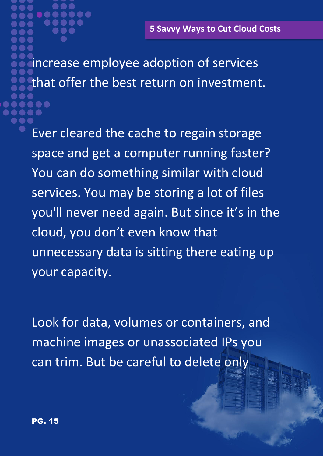increase employee adoption of services that offer the best return on investment. 8 O

Ever cleared the cache to regain storage space and get a computer running faster? You can do something similar with cloud services. You may be storing a lot of files you'll never need again. But since it's in the cloud, you don't even know that unnecessary data is sitting there eating up your capacity.

Look for data, volumes or containers, and machine images or unassociated IPs you can trim. But be careful to delete only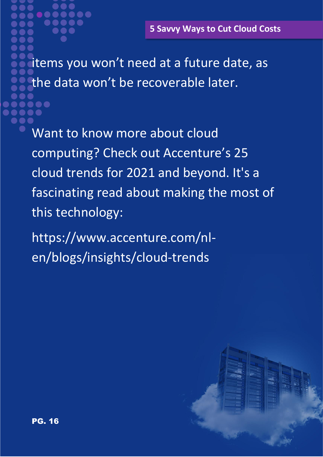items you won't need at a future date, as the data won't be recoverable later.

Want to know more about cloud computing? Check out Accenture's 25 cloud trends for 2021 and beyond. It's a fascinating read about making the most of this technology:

https://www.accenture.com/nlen/blogs/insights/cloud-trends

8 O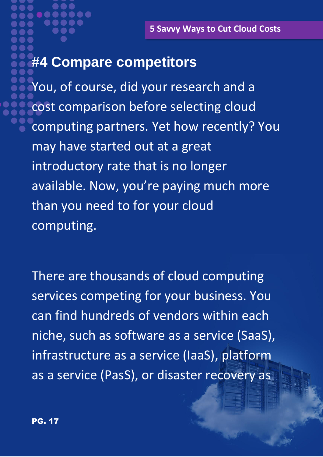## **#4 Compare competitors**

You, of course, did your research and a cost comparison before selecting cloud computing partners. Yet how recently? You may have started out at a great introductory rate that is no longer available. Now, you're paying much more than you need to for your cloud computing.

There are thousands of cloud computing services competing for your business. You can find hundreds of vendors within each niche, such as software as a service (SaaS), infrastructure as a service (IaaS), platform as a service (PasS), or disaster recovery as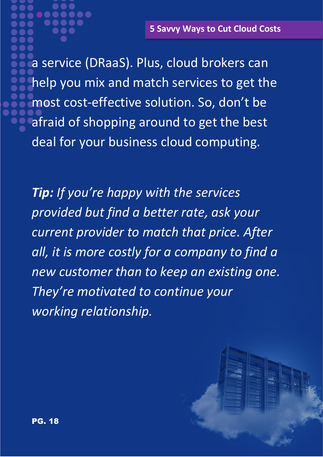a service (DRaaS). Plus, cloud brokers can help you mix and match services to get the most cost-effective solution. So, don't be afraid of shopping around to get the best deal for your business cloud computing.

*Tip: If you're happy with the services provided but find a better rate, ask your current provider to match that price. After all, it is more costly for a company to find a new customer than to keep an existing one. They're motivated to continue your working relationship.*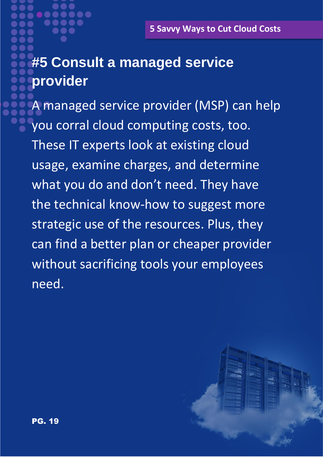# **#5 Consult a managed service provider**

A managed service provider (MSP) can help you corral cloud computing costs, too. These IT experts look at existing cloud usage, examine charges, and determine what you do and don't need. They have the technical know-how to suggest more strategic use of the resources. Plus, they can find a better plan or cheaper provider without sacrificing tools your employees need.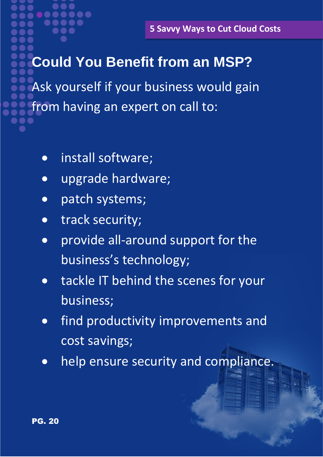# **Could You Benefit from an MSP?**

Ask yourself if your business would gain from having an expert on call to:

- install software;
- upgrade hardware;
- patch systems;
- track security;
- provide all-around support for the business's technology;
- tackle IT behind the scenes for your business;
- find productivity improvements and cost savings;
- help ensure security and compliance.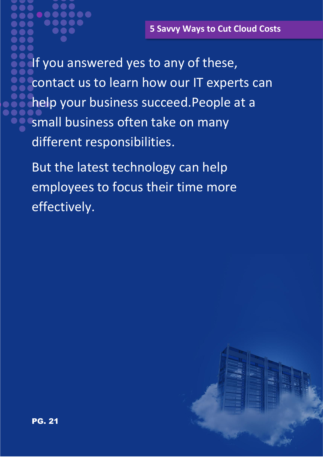If you answered yes to any of these, contact us to learn how our IT experts can help your business succeed.People at a small business often take on many different responsibilities.

But the latest technology can help employees to focus their time more effectively.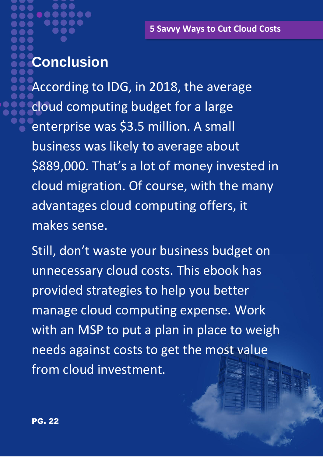# **Conclusion**

According to IDG, in 2018, the average cloud computing budget for a large enterprise was \$3.5 million. A small business was likely to average about \$889,000. That's a lot of money invested in cloud migration. Of course, with the many advantages cloud computing offers, it makes sense.

Still, don't waste your business budget on unnecessary cloud costs. This ebook has provided strategies to help you better manage cloud computing expense. Work with an MSP to put a plan in place to weigh needs against costs to get the most value from cloud investment.